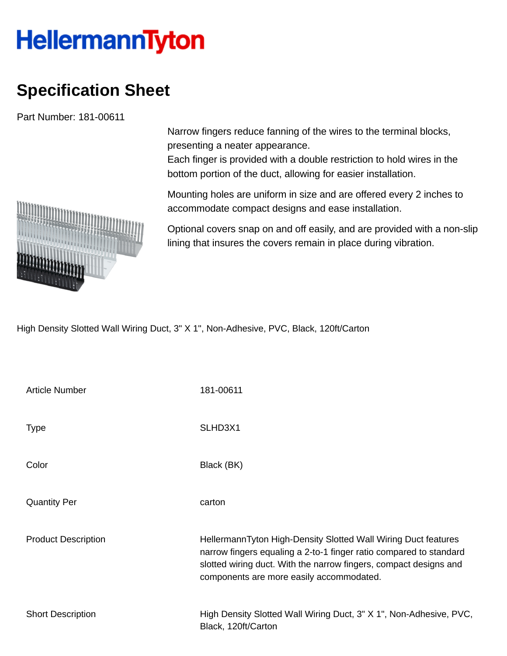## **HellermannTyton**

## **Specification Sheet**

Part Number: 181-00611

Narrow fingers reduce fanning of the wires to the terminal blocks, presenting a neater appearance.

Each finger is provided with a double restriction to hold wires in the bottom portion of the duct, allowing for easier installation.

Mounting holes are uniform in size and are offered every 2 inches to accommodate compact designs and ease installation.

Optional covers snap on and off easily, and are provided with a non-slip lining that insures the covers remain in place during vibration.

High Density Slotted Wall Wiring Duct, 3" X 1", Non-Adhesive, PVC, Black, 120ft/Carton

| <b>Article Number</b>      | 181-00611                                                                                                                                                                                                                                             |
|----------------------------|-------------------------------------------------------------------------------------------------------------------------------------------------------------------------------------------------------------------------------------------------------|
| <b>Type</b>                | SLHD3X1                                                                                                                                                                                                                                               |
| Color                      | Black (BK)                                                                                                                                                                                                                                            |
| <b>Quantity Per</b>        | carton                                                                                                                                                                                                                                                |
| <b>Product Description</b> | HellermannTyton High-Density Slotted Wall Wiring Duct features<br>narrow fingers equaling a 2-to-1 finger ratio compared to standard<br>slotted wiring duct. With the narrow fingers, compact designs and<br>components are more easily accommodated. |
| <b>Short Description</b>   | High Density Slotted Wall Wiring Duct, 3" X 1", Non-Adhesive, PVC,<br>Black, 120ft/Carton                                                                                                                                                             |

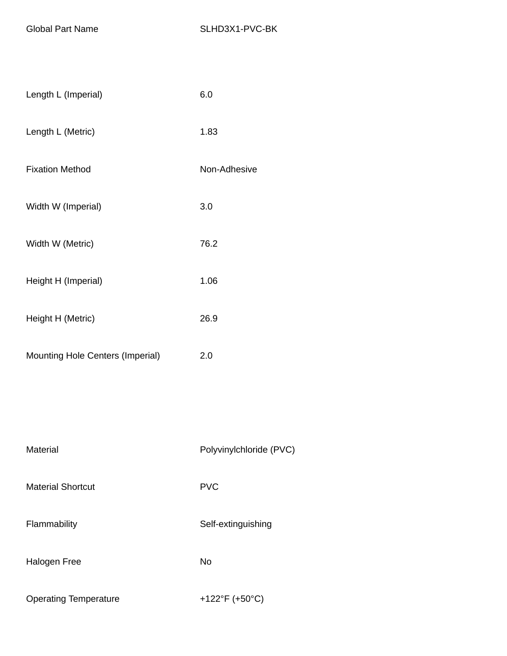| Length L (Imperial)              | 6.0          |
|----------------------------------|--------------|
| Length L (Metric)                | 1.83         |
| <b>Fixation Method</b>           | Non-Adhesive |
| Width W (Imperial)               | 3.0          |
| Width W (Metric)                 | 76.2         |
| Height H (Imperial)              | 1.06         |
| Height H (Metric)                | 26.9         |
| Mounting Hole Centers (Imperial) | 2.0          |
|                                  |              |
|                                  |              |

| Material                     | Polyvinylchloride (PVC) |
|------------------------------|-------------------------|
| <b>Material Shortcut</b>     | <b>PVC</b>              |
| Flammability                 | Self-extinguishing      |
| <b>Halogen Free</b>          | No                      |
| <b>Operating Temperature</b> | +122°F (+50°C)          |